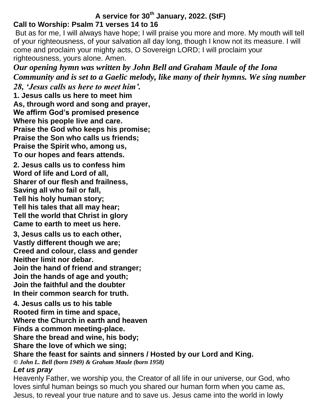# **A service for 30th January, 2022. (StF) Call to Worship: Psalm 71 verses 14 to 16**

But as for me, I will always have hope; I will praise you more and more. My mouth will tell of your righteousness, of your salvation all day long, though I know not its measure. I will come and proclaim your mighty acts, O Sovereign LORD; I will proclaim your righteousness, yours alone. Amen.

*Our opening hymn was written by John Bell and Graham Maule of the Iona Community and is set to a Gaelic melody, like many of their hymns. We sing number* 

*28, 'Jesus calls us here to meet him'.* **1. Jesus calls us here to meet him As, through word and song and prayer, We affirm God's promised presence Where his people live and care. Praise the God who keeps his promise; Praise the Son who calls us friends; Praise the Spirit who, among us, To our hopes and fears attends.**

**2. Jesus calls us to confess him Word of life and Lord of all, Sharer of our flesh and frailness, Saving all who fail or fall, Tell his holy human story; Tell his tales that all may hear; Tell the world that Christ in glory Came to earth to meet us here.**

**3, Jesus calls us to each other, Vastly different though we are; Creed and colour, class and gender Neither limit nor debar. Join the hand of friend and stranger; Join the hands of age and youth; Join the faithful and the doubter In their common search for truth.**

**4. Jesus calls us to his table Rooted firm in time and space, Where the Church in earth and heaven Finds a common meeting-place. Share the bread and wine, his body;**

**Share the love of which we sing;**

**Share the feast for saints and sinners / Hosted by our Lord and King.**

*© John L. Bell (born 1949) & Graham Maule (born 1958)*

## *Let us pray*

Heavenly Father, we worship you, the Creator of all life in our universe, our God, who loves sinful human beings so much you shared our human form when you came as, Jesus, to reveal your true nature and to save us. Jesus came into the world in lowly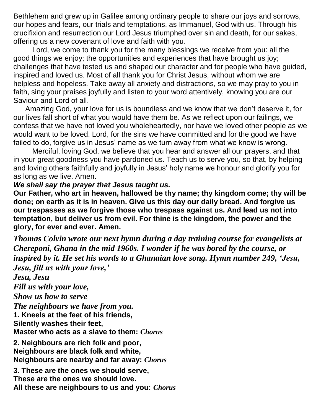Bethlehem and grew up in Galilee among ordinary people to share our joys and sorrows, our hopes and fears, our trials and temptations, as Immanuel, God with us. Through his crucifixion and resurrection our Lord Jesus triumphed over sin and death, for our sakes, offering us a new covenant of love and faith with you.

Lord, we come to thank you for the many blessings we receive from you: all the good things we enjoy; the opportunities and experiences that have brought us joy; challenges that have tested us and shaped our character and for people who have guided, inspired and loved us. Most of all thank you for Christ Jesus, without whom we are helpless and hopeless. Take away all anxiety and distractions, so we may pray to you in faith, sing your praises joyfully and listen to your word attentively, knowing you are our Saviour and Lord of all.

Amazing God, your love for us is boundless and we know that we don't deserve it, for our lives fall short of what you would have them be. As we reflect upon our failings, we confess that we have not loved you wholeheartedly, nor have we loved other people as we would want to be loved. Lord, for the sins we have committed and for the good we have failed to do, forgive us in Jesus' name as we turn away from what we know is wrong.

Merciful, loving God, we believe that you hear and answer all our prayers, and that in your great goodness you have pardoned us. Teach us to serve you, so that, by helping and loving others faithfully and joyfully in Jesus' holy name we honour and glorify you for as long as we live. Amen.

## *We shall say the prayer that Jesus taught us.*

**Our Father, who art in heaven, hallowed be thy name; thy kingdom come; thy will be done; on earth as it is in heaven. Give us this day our daily bread. And forgive us our trespasses as we forgive those who trespass against us. And lead us not into temptation, but deliver us from evil. For thine is the kingdom, the power and the glory, for ever and ever. Amen.**

*Thomas Colvin wrote our next hymn during a day training course for evangelists at Chereponi, Ghana in the mid 1960s. I wonder if he was bored by the course, or inspired by it. He set his words to a Ghanaian love song. Hymn number 249, 'Jesu, Jesu, fill us with your love,'*

*Jesu, Jesu Fill us with your love, Show us how to serve The neighbours we have from you.* **1. Kneels at the feet of his friends, Silently washes their feet, Master who acts as a slave to them:** *Chorus*

**2. Neighbours are rich folk and poor, Neighbours are black folk and white, Neighbours are nearby and far away:** *Chorus*

**3. These are the ones we should serve, These are the ones we should love. All these are neighbours to us and you:** *Chorus*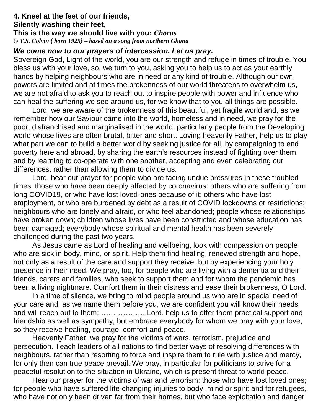#### **4. Kneel at the feet of our friends, Silently washing their feet, This is the way we should live with you:** *Chorus © T.S. Colvin { born 1925} – based on a song from northern Ghana*

### *We come now to our prayers of intercession. Let us pray.*

Sovereign God, Light of the world, you are our strength and refuge in times of trouble. You bless us with your love, so, we turn to you, asking you to help us to act as your earthly hands by helping neighbours who are in need or any kind of trouble. Although our own powers are limited and at times the brokenness of our world threatens to overwhelm us, we are not afraid to ask you to reach out to inspire people with power and influence who can heal the suffering we see around us, for we know that to you all things are possible.

Lord, we are aware of the brokenness of this beautiful, yet fragile world and, as we remember how our Saviour came into the world, homeless and in need, we pray for the poor, disfranchised and marginalised in the world, particularly people from the Developing world whose lives are often brutal, bitter and short. Loving heavenly Father, help us to play what part we can to build a better world by seeking justice for all, by campaigning to end poverty here and abroad, by sharing the earth's resources instead of fighting over them and by learning to co-operate with one another, accepting and even celebrating our differences, rather than allowing them to divide us.

Lord, hear our prayer for people who are facing undue pressures in these troubled times: those who have been deeply affected by coronavirus: others who are suffering from long COVID19, or who have lost loved-ones because of it; others who have lost employment, or who are burdened by debt as a result of COVID lockdowns or restrictions; neighbours who are lonely and afraid, or who feel abandoned; people whose relationships have broken down; children whose lives have been constricted and whose education has been damaged; everybody whose spiritual and mental health has been severely challenged during the past two years.

As Jesus came as Lord of healing and wellbeing, look with compassion on people who are sick in body, mind, or spirit. Help them find healing, renewed strength and hope, not only as a result of the care and support they receive, but by experiencing your holy presence in their need. We pray, too, for people who are living with a dementia and their friends, carers and families, who seek to support them and for whom the pandemic has been a living nightmare. Comfort them in their distress and ease their brokenness, O Lord.

In a time of silence, we bring to mind people around us who are in special need of your care and, as we name them before you, we are confident you will know their needs and will reach out to them: ……………… Lord, help us to offer them practical support and friendship as well as sympathy, but embrace everybody for whom we pray with your love, so they receive healing, courage, comfort and peace.

Heavenly Father, we pray for the victims of wars, terrorism, prejudice and persecution. Teach leaders of all nations to find better ways of resolving differences with neighbours, rather than resorting to force and inspire them to rule with justice and mercy, for only then can true peace prevail. We pray, in particular for politicians to strive for a peaceful resolution to the situation in Ukraine, which is present threat to world peace.

Hear our prayer for the victims of war and terrorism: those who have lost loved ones; for people who have suffered life-changing injuries to body, mind or spirit and for refugees, who have not only been driven far from their homes, but who face exploitation and danger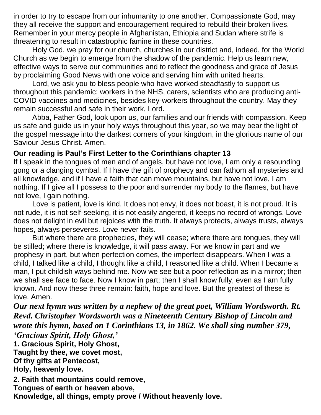in order to try to escape from our inhumanity to one another. Compassionate God, may they all receive the support and encouragement required to rebuild their broken lives. Remember in your mercy people in Afghanistan, Ethiopia and Sudan where strife is threatening to result in catastrophic famine in these countries.

Holy God, we pray for our church, churches in our district and, indeed, for the World Church as we begin to emerge from the shadow of the pandemic. Help us learn new, effective ways to serve our communities and to reflect the goodness and grace of Jesus by proclaiming Good News with one voice and serving him with united hearts.

Lord, we ask you to bless people who have worked steadfastly to support us throughout this pandemic: workers in the NHS, carers, scientists who are producing anti-COVID vaccines and medicines, besides key-workers throughout the country. May they remain successful and safe in their work, Lord.

Abba, Father God, look upon us, our families and our friends with compassion. Keep us safe and guide us in your holy ways throughout this year, so we may bear the light of the gospel message into the darkest corners of your kingdom, in the glorious name of our Saviour Jesus Christ. Amen.

# **Our reading is Paul's First Letter to the Corinthians chapter 13**

If I speak in the tongues of men and of angels, but have not love, I am only a resounding gong or a clanging cymbal. If I have the gift of prophecy and can fathom all mysteries and all knowledge, and if I have a faith that can move mountains, but have not love, I am nothing. If I give all I possess to the poor and surrender my body to the flames, but have not love, I gain nothing.

Love is patient, love is kind. It does not envy, it does not boast, it is not proud. It is not rude, it is not self-seeking, it is not easily angered, it keeps no record of wrongs. Love does not delight in evil but rejoices with the truth. It always protects, always trusts, always hopes, always perseveres. Love never fails.

But where there are prophecies, they will cease; where there are tongues, they will be stilled; where there is knowledge, it will pass away. For we know in part and we prophesy in part, but when perfection comes, the imperfect disappears. When I was a child, I talked like a child, I thought like a child, I reasoned like a child. When I became a man, I put childish ways behind me. Now we see but a poor reflection as in a mirror; then we shall see face to face. Now I know in part; then I shall know fully, even as I am fully known. And now these three remain: faith, hope and love. But the greatest of these is love. Amen.

*Our next hymn was written by a nephew of the great poet, William Wordsworth. Rt. Revd. Christopher Wordsworth was a Nineteenth Century Bishop of Lincoln and wrote this hymn, based on 1 Corinthians 13, in 1862. We shall sing number 379, 'Gracious Spirit, Holy Ghost,'*

**1. Gracious Spirit, Holy Ghost,**

**Taught by thee, we covet most,**

**Of thy gifts at Pentecost,**

**Holy, heavenly love.**

**2. Faith that mountains could remove,**

**Tongues of earth or heaven above,** 

**Knowledge, all things, empty prove / Without heavenly love.**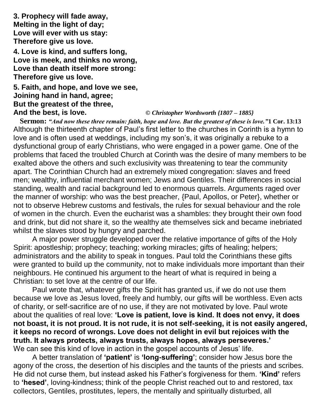**3. Prophecy will fade away, Melting in the light of day; Love will ever with us stay: Therefore give us love.**

**4. Love is kind, and suffers long, Love is meek, and thinks no wrong, Love than death itself more strong: Therefore give us love.**

## **5. Faith, and hope, and love we see, Joining hand in hand, agree; But the greatest of the three, And the best, is love.** *© Christopher Wordsworth {1807 – 1885}*

**Sermon:** *"And now these three remain: faith, hope and love. But the greatest of these is love."***1 Cor. 13:13** Although the thirteenth chapter of Paul's first letter to the churches in Corinth is a hymn to love and is often used at weddings, including my son's, it was originally a rebuke to a dysfunctional group of early Christians, who were engaged in a power game. One of the problems that faced the troubled Church at Corinth was the desire of many members to be exalted above the others and such exclusivity was threatening to tear the community apart. The Corinthian Church had an extremely mixed congregation: slaves and freed men; wealthy, influential merchant women; Jews and Gentiles. Their differences in social standing, wealth and racial background led to enormous quarrels. Arguments raged over the manner of worship: who was the best preacher, {Paul, Apollos, or Peter}, whether or not to observe Hebrew customs and festivals, the rules for sexual behaviour and the role of women in the church. Even the eucharist was a shambles: they brought their own food and drink, but did not share it, so the wealthy ate themselves sick and became inebriated whilst the slaves stood by hungry and parched.

A major power struggle developed over the relative importance of gifts of the Holy Spirit: apostleship; prophecy; teaching; working miracles; gifts of healing; helpers; administrators and the ability to speak in tongues. Paul told the Corinthians these gifts were granted to build up the community, not to make individuals more important than their neighbours. He continued his argument to the heart of what is required in being a Christian: to set love at the centre of our life.

Paul wrote that, whatever gifts the Spirit has granted us, if we do not use them because we love as Jesus loved, freely and humbly, our gifts will be worthless. Even acts of charity, or self-sacrifice are of no use, if they are not motivated by love. Paul wrote about the qualities of real love: **'Love is patient, love is kind. It does not envy, it does not boast, it is not proud. It is not rude, it is not self-seeking, it is not easily angered, it keeps no record of wrongs. Love does not delight in evil but rejoices with the truth. It always protects, always trusts, always hopes, always perseveres.'** We can see this kind of love in action in the gospel accounts of Jesus' life.

A better translation of **'patient'** is **'long-suffering'**; consider how Jesus bore the agony of the cross, the desertion of his disciples and the taunts of the priests and scribes. He did not curse them, but instead asked his Father's forgiveness for them. **'Kind'** refers to **'hesed'**, loving-kindness; think of the people Christ reached out to and restored, tax collectors, Gentiles, prostitutes, lepers, the mentally and spiritually disturbed, all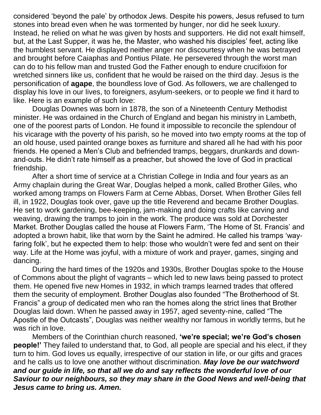considered 'beyond the pale' by orthodox Jews. Despite his powers, Jesus refused to turn stones into bread even when he was tormented by hunger, nor did he seek luxury. Instead, he relied on what he was given by hosts and supporters. He did not exalt himself, but, at the Last Supper, it was he, the Master, who washed his disciples' feet, acting like the humblest servant. He displayed neither anger nor discourtesy when he was betrayed and brought before Caiaphas and Pontius Pilate. He persevered through the worst man can do to his fellow man and trusted God the Father enough to endure crucifixion for wretched sinners like us, confident that he would be raised on the third day. Jesus is the personification of **agape**, the boundless love of God. As followers, we are challenged to display his love in our lives, to foreigners, asylum-seekers, or to people we find it hard to like. Here is an example of such love:

Douglas Downes was born in 1878, the son of a Nineteenth Century Methodist minister. He was ordained in the Church of England and began his ministry in Lambeth, one of the poorest parts of London. He found it impossible to reconcile the splendour of his vicarage with the poverty of his parish, so he moved into two empty rooms at the top of an old house, used painted orange boxes as furniture and shared all he had with his poor friends. He opened a Men's Club and befriended tramps, beggars, drunkards and downand-outs. He didn't rate himself as a preacher, but showed the love of God in practical friendship.

After a short time of service at a Christian College in India and four years as an Army chaplain during the Great War, Douglas helped a monk, called Brother Giles, who worked among tramps on Flowers Farm at Cerne Abbas, Dorset. When Brother Giles fell ill, in 1922, Douglas took over, gave up the title Reverend and became Brother Douglas. He set to work gardening, bee-keeping, jam-making and doing crafts like carving and weaving, drawing the tramps to join in the work. The produce was sold at Dorchester Market. Brother Douglas called the house at Flowers Farm, 'The Home of St. Francis' and adopted a brown habit, like that worn by the Saint he admired. He called his tramps 'wayfaring folk', but he expected them to help: those who wouldn't were fed and sent on their way. Life at the Home was joyful, with a mixture of work and prayer, games, singing and dancing.

During the hard times of the 1920s and 1930s, Brother Douglas spoke to the House of Commons about the plight of vagrants – which led to new laws being passed to protect them. He opened five new Homes in 1932, in which tramps learned trades that offered them the security of employment. Brother Douglas also founded "The Brotherhood of St. Francis" a group of dedicated men who ran the homes along the strict lines that Brother Douglas laid down. When he passed away in 1957, aged seventy-nine, called "The Apostle of the Outcasts", Douglas was neither wealthy nor famous in worldly terms, but he was rich in love.

Members of the Corinthian church reasoned, **'we're special; we're God's chosen people!'** They failed to understand that, to God, all people are special and his elect, if they turn to him. God loves us equally, irrespective of our station in life, or our gifts and graces and he calls us to love one another without discrimination. *May love be our watchword and our guide in life, so that all we do and say reflects the wonderful love of our Saviour to our neighbours, so they may share in the Good News and well-being that Jesus came to bring us. Amen.*